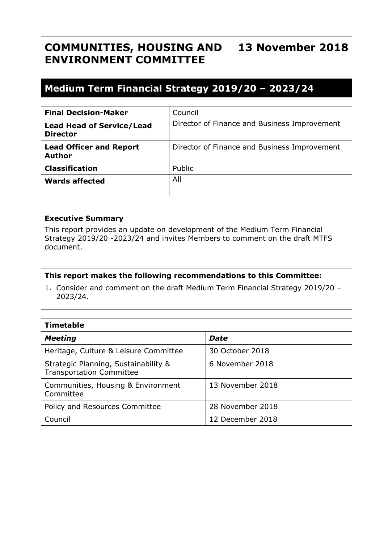## **COMMUNITIES, HOUSING AND ENVIRONMENT COMMITTEE 13 November 2018**

# **Medium Term Financial Strategy 2019/20 – 2023/24**

| <b>Final Decision-Maker</b>                         | Council                                      |
|-----------------------------------------------------|----------------------------------------------|
| <b>Lead Head of Service/Lead</b><br><b>Director</b> | Director of Finance and Business Improvement |
| <b>Lead Officer and Report</b><br><b>Author</b>     | Director of Finance and Business Improvement |
| <b>Classification</b>                               | Public                                       |
| <b>Wards affected</b>                               | All                                          |

## **Executive Summary**

This report provides an update on development of the Medium Term Financial Strategy 2019/20 -2023/24 and invites Members to comment on the draft MTFS document.

## **This report makes the following recommendations to this Committee:**

1. Consider and comment on the draft Medium Term Financial Strategy 2019/20 – 2023/24.

| <b>Timetable</b>                                                        |                  |  |  |
|-------------------------------------------------------------------------|------------------|--|--|
| <b>Meeting</b>                                                          | <b>Date</b>      |  |  |
| Heritage, Culture & Leisure Committee                                   | 30 October 2018  |  |  |
| Strategic Planning, Sustainability &<br><b>Transportation Committee</b> | 6 November 2018  |  |  |
| Communities, Housing & Environment<br>Committee                         | 13 November 2018 |  |  |
| Policy and Resources Committee                                          | 28 November 2018 |  |  |
| Council                                                                 | 12 December 2018 |  |  |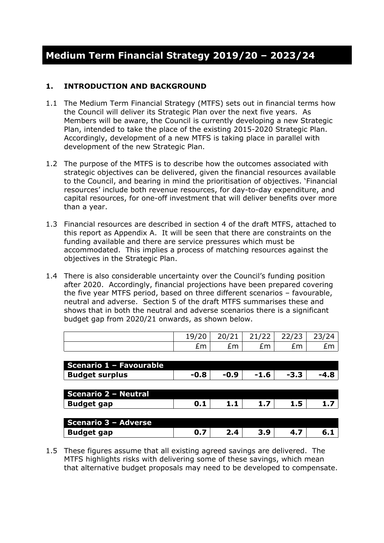## **1. INTRODUCTION AND BACKGROUND**

- 1.1 The Medium Term Financial Strategy (MTFS) sets out in financial terms how the Council will deliver its Strategic Plan over the next five years. As Members will be aware, the Council is currently developing a new Strategic Plan, intended to take the place of the existing 2015-2020 Strategic Plan. Accordingly, development of a new MTFS is taking place in parallel with development of the new Strategic Plan.
- 1.2 The purpose of the MTFS is to describe how the outcomes associated with strategic objectives can be delivered, given the financial resources available to the Council, and bearing in mind the prioritisation of objectives. 'Financial resources' include both revenue resources, for day-to-day expenditure, and capital resources, for one-off investment that will deliver benefits over more than a year.
- 1.3 Financial resources are described in section 4 of the draft MTFS, attached to this report as Appendix A. It will be seen that there are constraints on the funding available and there are service pressures which must be accommodated. This implies a process of matching resources against the objectives in the Strategic Plan.
- 1.4 There is also considerable uncertainty over the Council's funding position after 2020. Accordingly, financial projections have been prepared covering the five year MTFS period, based on three different scenarios – favourable, neutral and adverse. Section 5 of the draft MTFS summarises these and shows that in both the neutral and adverse scenarios there is a significant budget gap from 2020/21 onwards, as shown below.

|                             | 19/20  | 20/21  | 21/22  | 22/23  | 23/24  |
|-----------------------------|--------|--------|--------|--------|--------|
|                             | £m     | £m     | £m     | £m     | £m     |
|                             |        |        |        |        |        |
| Scenario 1 - Favourable     |        |        |        |        |        |
| <b>Budget surplus</b>       | $-0.8$ | $-0.9$ | $-1.6$ | $-3.3$ | $-4.8$ |
|                             |        |        |        |        |        |
| <b>Scenario 2 - Neutral</b> |        |        |        |        |        |
| <b>Budget gap</b>           | 0.1    | 1.1    | 1.7    | 1.5    | 1.7    |
|                             |        |        |        |        |        |
| Scenario 3 - Adverse        |        |        |        |        |        |
| <b>Budget gap</b>           | 0.7    | 2.4    | 3.9    | 4.7    | 6.1    |
|                             |        |        |        |        |        |

1.5 These figures assume that all existing agreed savings are delivered. The MTFS highlights risks with delivering some of these savings, which mean that alternative budget proposals may need to be developed to compensate.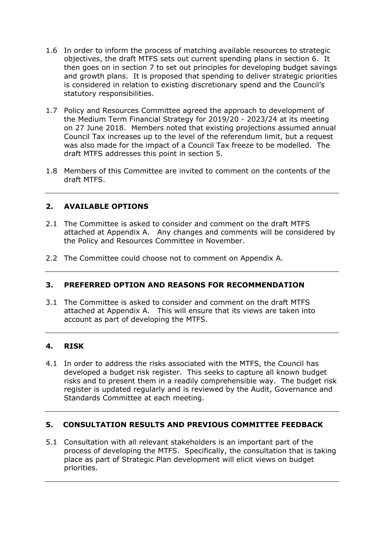- 1.6 In order to inform the process of matching available resources to strategic objectives, the draft MTFS sets out current spending plans in section 6. It then goes on in section 7 to set out principles for developing budget savings and growth plans. It is proposed that spending to deliver strategic priorities is considered in relation to existing discretionary spend and the Council's statutory responsibilities.
- 1.7 Policy and Resources Committee agreed the approach to development of the Medium Term Financial Strategy for 2019/20 - 2023/24 at its meeting on 27 June 2018. Members noted that existing projections assumed annual Council Tax increases up to the level of the referendum limit, but a request was also made for the impact of a Council Tax freeze to be modelled. The draft MTFS addresses this point in section 5.
- 1.8 Members of this Committee are invited to comment on the contents of the draft MTFS.

## **2. AVAILABLE OPTIONS**

- 2.1 The Committee is asked to consider and comment on the draft MTFS attached at Appendix A. Any changes and comments will be considered by the Policy and Resources Committee in November.
- 2.2 The Committee could choose not to comment on Appendix A.

## **3. PREFERRED OPTION AND REASONS FOR RECOMMENDATION**

3.1 The Committee is asked to consider and comment on the draft MTFS attached at Appendix A. This will ensure that its views are taken into account as part of developing the MTFS.

## **4. RISK**

4.1 In order to address the risks associated with the MTFS, the Council has developed a budget risk register. This seeks to capture all known budget risks and to present them in a readily comprehensible way. The budget risk register is updated regularly and is reviewed by the Audit, Governance and Standards Committee at each meeting.

## **5. CONSULTATION RESULTS AND PREVIOUS COMMITTEE FEEDBACK**

5.1 Consultation with all relevant stakeholders is an important part of the process of developing the MTFS. Specifically, the consultation that is taking place as part of Strategic Plan development will elicit views on budget priorities.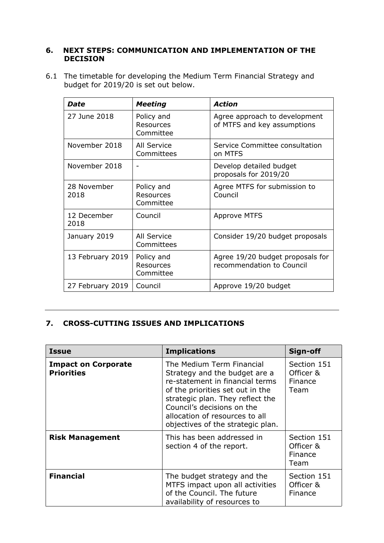#### **6. NEXT STEPS: COMMUNICATION AND IMPLEMENTATION OF THE DECISION**

6.1 The timetable for developing the Medium Term Financial Strategy and budget for 2019/20 is set out below.

| Date                | <b>Meeting</b>                       | <b>Action</b>                                                 |
|---------------------|--------------------------------------|---------------------------------------------------------------|
| 27 June 2018        | Policy and<br>Resources<br>Committee | Agree approach to development<br>of MTFS and key assumptions  |
| November 2018       | All Service<br>Committees            | Service Committee consultation<br>on MTFS                     |
| November 2018       |                                      | Develop detailed budget<br>proposals for 2019/20              |
| 28 November<br>2018 | Policy and<br>Resources<br>Committee | Agree MTFS for submission to<br>Council                       |
| 12 December<br>2018 | Council                              | <b>Approve MTFS</b>                                           |
| January 2019        | All Service<br>Committees            | Consider 19/20 budget proposals                               |
| 13 February 2019    | Policy and<br>Resources<br>Committee | Agree 19/20 budget proposals for<br>recommendation to Council |
| 27 February 2019    | Council                              | Approve 19/20 budget                                          |

## **7. CROSS-CUTTING ISSUES AND IMPLICATIONS**

| <b>Issue</b>                                    | <b>Implications</b>                                                                                                                                                                                                                                                        | Sign-off                                    |
|-------------------------------------------------|----------------------------------------------------------------------------------------------------------------------------------------------------------------------------------------------------------------------------------------------------------------------------|---------------------------------------------|
| <b>Impact on Corporate</b><br><b>Priorities</b> | The Medium Term Financial<br>Strategy and the budget are a<br>re-statement in financial terms<br>of the priorities set out in the<br>strategic plan. They reflect the<br>Council's decisions on the<br>allocation of resources to all<br>objectives of the strategic plan. | Section 151<br>Officer &<br>Finance<br>Team |
| <b>Risk Management</b>                          | This has been addressed in<br>section 4 of the report.                                                                                                                                                                                                                     | Section 151<br>Officer &<br>Finance<br>Team |
| <b>Financial</b>                                | The budget strategy and the<br>MTFS impact upon all activities<br>of the Council. The future<br>availability of resources to                                                                                                                                               | Section 151<br>Officer &<br>Finance         |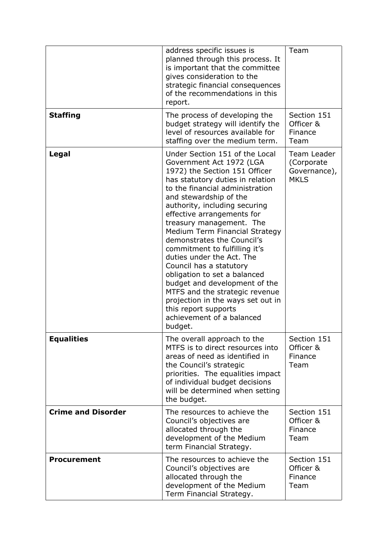|                           | address specific issues is<br>planned through this process. It<br>is important that the committee<br>gives consideration to the<br>strategic financial consequences<br>of the recommendations in this<br>report.                                                                                                                                                                                                                                                                                                                                                                                                                                         | Team                                                     |
|---------------------------|----------------------------------------------------------------------------------------------------------------------------------------------------------------------------------------------------------------------------------------------------------------------------------------------------------------------------------------------------------------------------------------------------------------------------------------------------------------------------------------------------------------------------------------------------------------------------------------------------------------------------------------------------------|----------------------------------------------------------|
| <b>Staffing</b>           | The process of developing the<br>budget strategy will identify the<br>level of resources available for<br>staffing over the medium term.                                                                                                                                                                                                                                                                                                                                                                                                                                                                                                                 | Section 151<br>Officer &<br>Finance<br>Team              |
| Legal                     | Under Section 151 of the Local<br>Government Act 1972 (LGA<br>1972) the Section 151 Officer<br>has statutory duties in relation<br>to the financial administration<br>and stewardship of the<br>authority, including securing<br>effective arrangements for<br>treasury management. The<br>Medium Term Financial Strategy<br>demonstrates the Council's<br>commitment to fulfilling it's<br>duties under the Act. The<br>Council has a statutory<br>obligation to set a balanced<br>budget and development of the<br>MTFS and the strategic revenue<br>projection in the ways set out in<br>this report supports<br>achievement of a balanced<br>budget. | Team Leader<br>(Corporate<br>Governance),<br><b>MKLS</b> |
| <b>Equalities</b>         | The overall approach to the<br>MTFS is to direct resources into<br>areas of need as identified in<br>the Council's strategic<br>priorities. The equalities impact<br>of individual budget decisions<br>will be determined when setting<br>the budget.                                                                                                                                                                                                                                                                                                                                                                                                    | Section 151<br>Officer &<br>Finance<br>Team              |
| <b>Crime and Disorder</b> | The resources to achieve the<br>Council's objectives are<br>allocated through the<br>development of the Medium<br>term Financial Strategy.                                                                                                                                                                                                                                                                                                                                                                                                                                                                                                               | Section 151<br>Officer &<br>Finance<br>Team              |
| <b>Procurement</b>        | The resources to achieve the<br>Council's objectives are<br>allocated through the<br>development of the Medium<br>Term Financial Strategy.                                                                                                                                                                                                                                                                                                                                                                                                                                                                                                               | Section 151<br>Officer &<br>Finance<br>Team              |